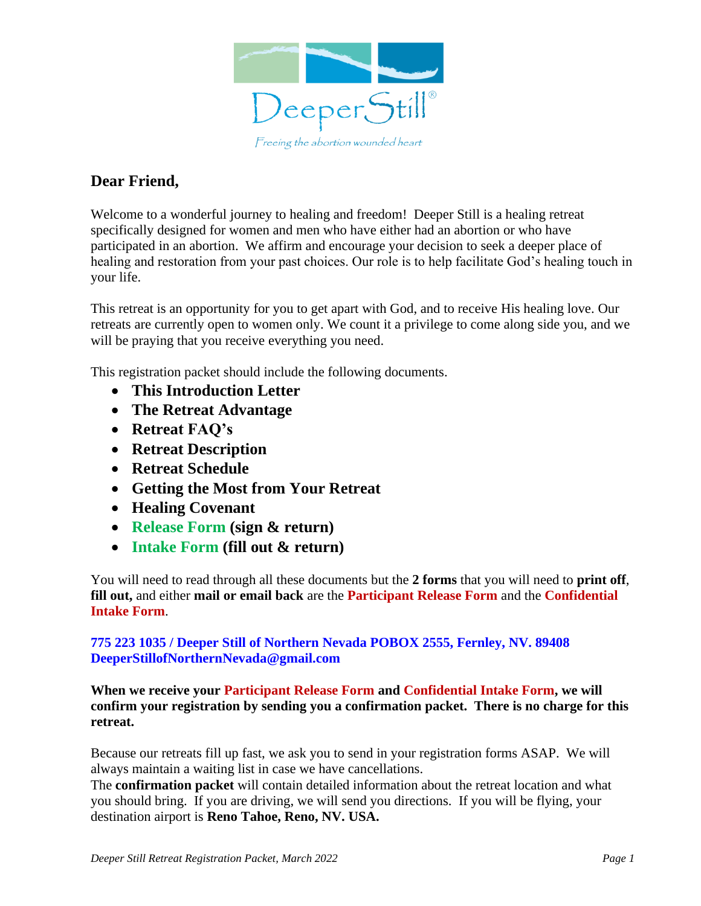

#### **Dear Friend,**

Welcome to a wonderful journey to healing and freedom! Deeper Still is a healing retreat specifically designed for women and men who have either had an abortion or who have participated in an abortion. We affirm and encourage your decision to seek a deeper place of healing and restoration from your past choices. Our role is to help facilitate God's healing touch in your life.

This retreat is an opportunity for you to get apart with God, and to receive His healing love. Our retreats are currently open to women only. We count it a privilege to come along side you, and we will be praying that you receive everything you need.

This registration packet should include the following documents.

- **This Introduction Letter**
- **The Retreat Advantage**
- **Retreat FAQ's**
- **Retreat Description**
- **Retreat Schedule**
- **Getting the Most from Your Retreat**
- **Healing Covenant**
- **Release Form (sign & return)**
- **Intake Form (fill out & return)**

You will need to read through all these documents but the **2 forms** that you will need to **print off**, **fill out,** and either **mail or email back** are the **Participant Release Form** and the **Confidential Intake Form**.

#### **775 223 1035 / Deeper Still of Northern Nevada POBOX 2555, Fernley, NV. 89408 DeeperStillofNorthernNevada@gmail.com**

**When we receive your Participant Release Form and Confidential Intake Form, we will confirm your registration by sending you a confirmation packet. There is no charge for this retreat.**

Because our retreats fill up fast, we ask you to send in your registration forms ASAP. We will always maintain a waiting list in case we have cancellations.

The **confirmation packet** will contain detailed information about the retreat location and what you should bring. If you are driving, we will send you directions. If you will be flying, your destination airport is **Reno Tahoe, Reno, NV. USA.**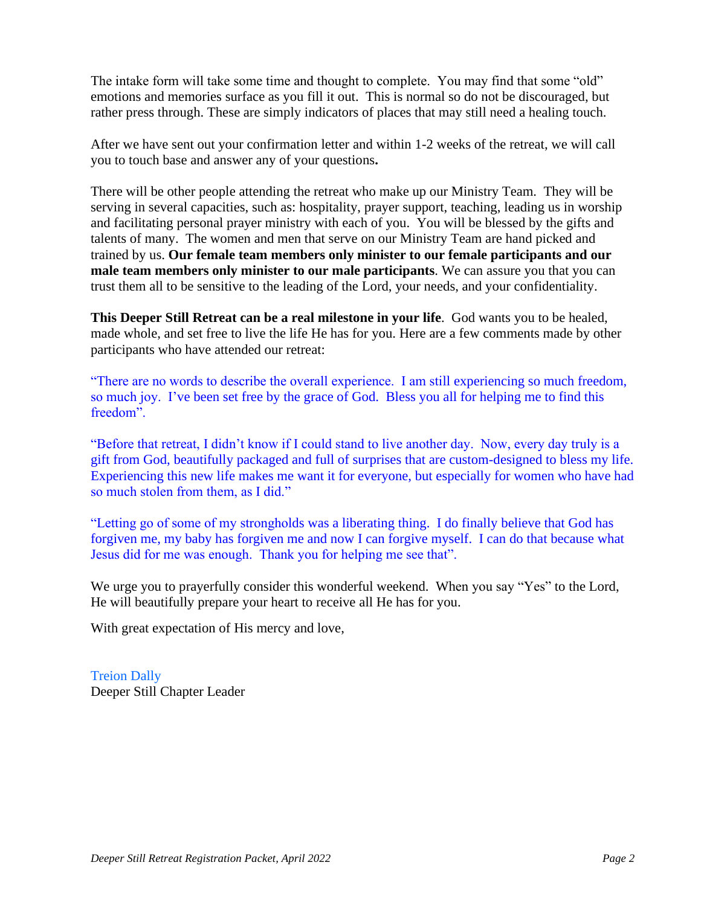The intake form will take some time and thought to complete. You may find that some "old" emotions and memories surface as you fill it out. This is normal so do not be discouraged, but rather press through. These are simply indicators of places that may still need a healing touch.

After we have sent out your confirmation letter and within 1-2 weeks of the retreat, we will call you to touch base and answer any of your questions**.** 

There will be other people attending the retreat who make up our Ministry Team. They will be serving in several capacities, such as: hospitality, prayer support, teaching, leading us in worship and facilitating personal prayer ministry with each of you. You will be blessed by the gifts and talents of many. The women and men that serve on our Ministry Team are hand picked and trained by us. **Our female team members only minister to our female participants and our male team members only minister to our male participants**. We can assure you that you can trust them all to be sensitive to the leading of the Lord, your needs, and your confidentiality.

**This Deeper Still Retreat can be a real milestone in your life**. God wants you to be healed, made whole, and set free to live the life He has for you. Here are a few comments made by other participants who have attended our retreat:

"There are no words to describe the overall experience. I am still experiencing so much freedom, so much joy. I've been set free by the grace of God. Bless you all for helping me to find this freedom".

"Before that retreat, I didn't know if I could stand to live another day. Now, every day truly is a gift from God, beautifully packaged and full of surprises that are custom-designed to bless my life. Experiencing this new life makes me want it for everyone, but especially for women who have had so much stolen from them, as I did."

"Letting go of some of my strongholds was a liberating thing. I do finally believe that God has forgiven me, my baby has forgiven me and now I can forgive myself. I can do that because what Jesus did for me was enough. Thank you for helping me see that".

We urge you to prayerfully consider this wonderful weekend. When you say "Yes" to the Lord, He will beautifully prepare your heart to receive all He has for you.

With great expectation of His mercy and love,

Treion Dally Deeper Still Chapter Leader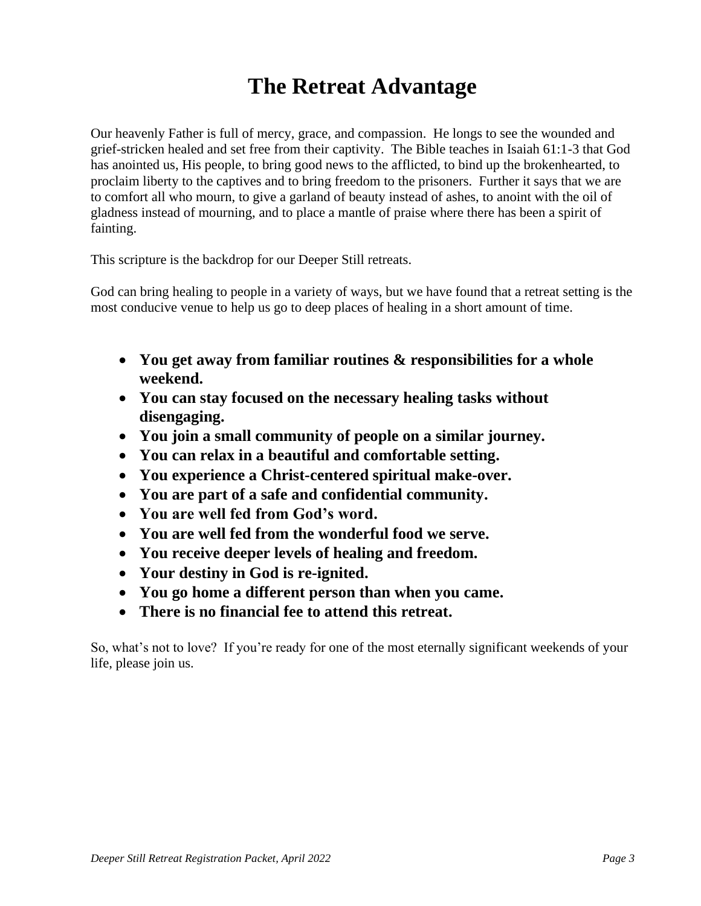## **The Retreat Advantage**

Our heavenly Father is full of mercy, grace, and compassion. He longs to see the wounded and grief-stricken healed and set free from their captivity. The Bible teaches in Isaiah 61:1-3 that God has anointed us, His people, to bring good news to the afflicted, to bind up the brokenhearted, to proclaim liberty to the captives and to bring freedom to the prisoners. Further it says that we are to comfort all who mourn, to give a garland of beauty instead of ashes, to anoint with the oil of gladness instead of mourning, and to place a mantle of praise where there has been a spirit of fainting.

This scripture is the backdrop for our Deeper Still retreats.

God can bring healing to people in a variety of ways, but we have found that a retreat setting is the most conducive venue to help us go to deep places of healing in a short amount of time.

- **You get away from familiar routines & responsibilities for a whole weekend.**
- **You can stay focused on the necessary healing tasks without disengaging.**
- **You join a small community of people on a similar journey.**
- **You can relax in a beautiful and comfortable setting.**
- **You experience a Christ-centered spiritual make-over.**
- **You are part of a safe and confidential community.**
- **You are well fed from God's word.**
- **You are well fed from the wonderful food we serve.**
- **You receive deeper levels of healing and freedom.**
- **Your destiny in God is re-ignited.**
- **You go home a different person than when you came.**
- **There is no financial fee to attend this retreat.**

So, what's not to love? If you're ready for one of the most eternally significant weekends of your life, please join us.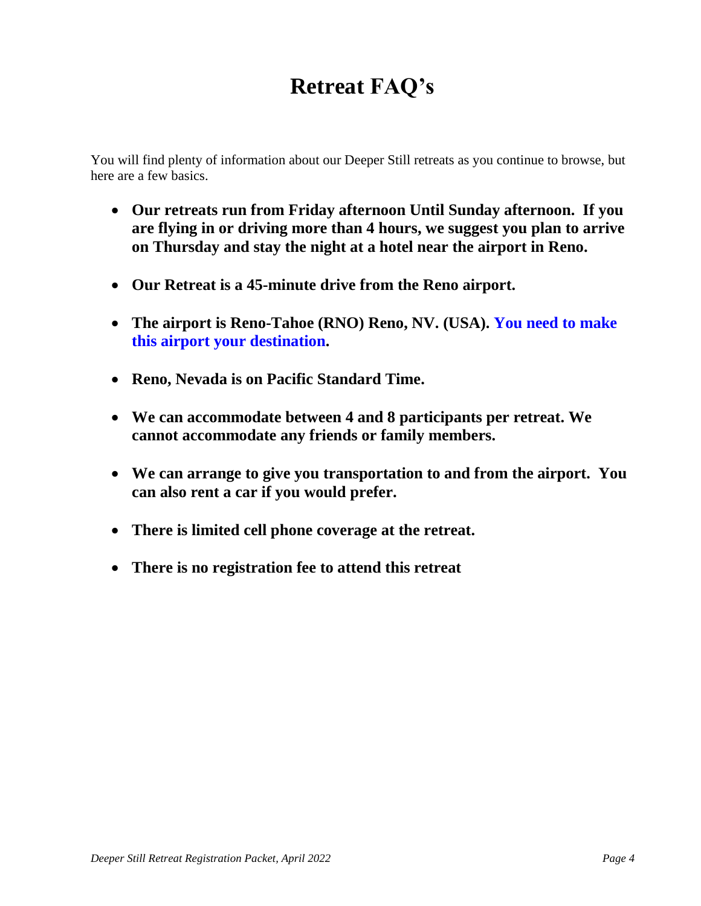# **Retreat FAQ's**

You will find plenty of information about our Deeper Still retreats as you continue to browse, but here are a few basics.

- **Our retreats run from Friday afternoon Until Sunday afternoon. If you are flying in or driving more than 4 hours, we suggest you plan to arrive on Thursday and stay the night at a hotel near the airport in Reno.**
- **Our Retreat is a 45-minute drive from the Reno airport.**
- **The airport is Reno-Tahoe (RNO) Reno, NV. (USA). You need to make this airport your destination.**
- **Reno, Nevada is on Pacific Standard Time.**
- **We can accommodate between 4 and 8 participants per retreat. We cannot accommodate any friends or family members.**
- **We can arrange to give you transportation to and from the airport. You can also rent a car if you would prefer.**
- **There is limited cell phone coverage at the retreat.**
- **There is no registration fee to attend this retreat**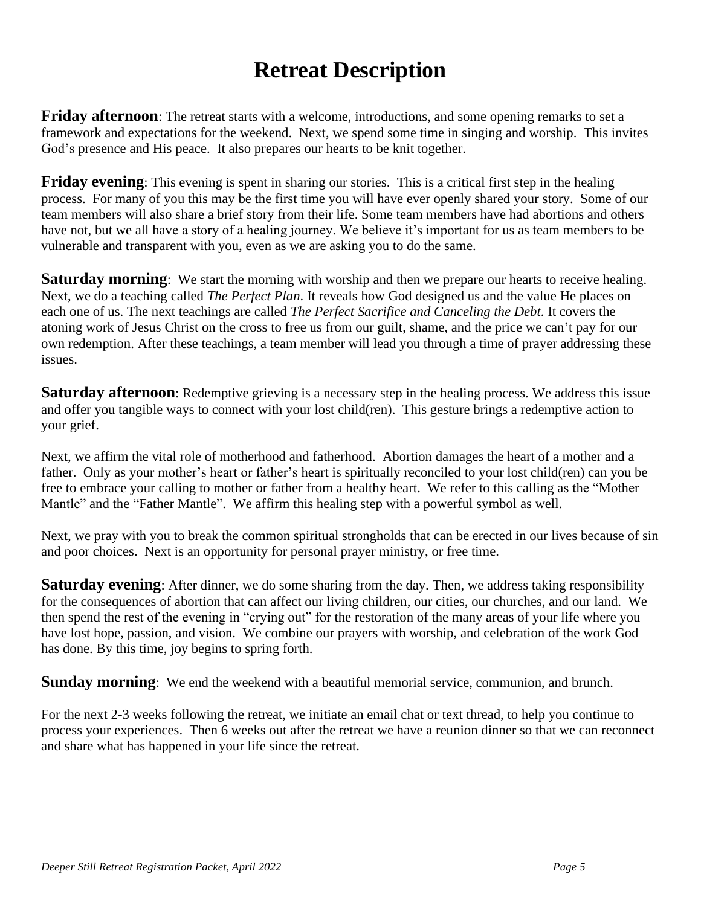## **Retreat Description**

**Friday afternoon**: The retreat starts with a welcome, introductions, and some opening remarks to set a framework and expectations for the weekend. Next, we spend some time in singing and worship. This invites God's presence and His peace. It also prepares our hearts to be knit together.

**Friday evening**: This evening is spent in sharing our stories. This is a critical first step in the healing process. For many of you this may be the first time you will have ever openly shared your story. Some of our team members will also share a brief story from their life. Some team members have had abortions and others have not, but we all have a story of a healing journey. We believe it's important for us as team members to be vulnerable and transparent with you, even as we are asking you to do the same.

**Saturday morning**: We start the morning with worship and then we prepare our hearts to receive healing. Next, we do a teaching called *The Perfect Plan*. It reveals how God designed us and the value He places on each one of us. The next teachings are called *The Perfect Sacrifice and Canceling the Debt*. It covers the atoning work of Jesus Christ on the cross to free us from our guilt, shame, and the price we can't pay for our own redemption. After these teachings, a team member will lead you through a time of prayer addressing these issues.

**Saturday afternoon**: Redemptive grieving is a necessary step in the healing process. We address this issue and offer you tangible ways to connect with your lost child(ren). This gesture brings a redemptive action to your grief.

Next, we affirm the vital role of motherhood and fatherhood. Abortion damages the heart of a mother and a father. Only as your mother's heart or father's heart is spiritually reconciled to your lost child(ren) can you be free to embrace your calling to mother or father from a healthy heart. We refer to this calling as the "Mother Mantle" and the "Father Mantle". We affirm this healing step with a powerful symbol as well.

Next, we pray with you to break the common spiritual strongholds that can be erected in our lives because of sin and poor choices. Next is an opportunity for personal prayer ministry, or free time.

**Saturday evening**: After dinner, we do some sharing from the day. Then, we address taking responsibility for the consequences of abortion that can affect our living children, our cities, our churches, and our land. We then spend the rest of the evening in "crying out" for the restoration of the many areas of your life where you have lost hope, passion, and vision. We combine our prayers with worship, and celebration of the work God has done. By this time, joy begins to spring forth.

**Sunday morning**: We end the weekend with a beautiful memorial service, communion, and brunch.

For the next 2-3 weeks following the retreat, we initiate an email chat or text thread, to help you continue to process your experiences. Then 6 weeks out after the retreat we have a reunion dinner so that we can reconnect and share what has happened in your life since the retreat.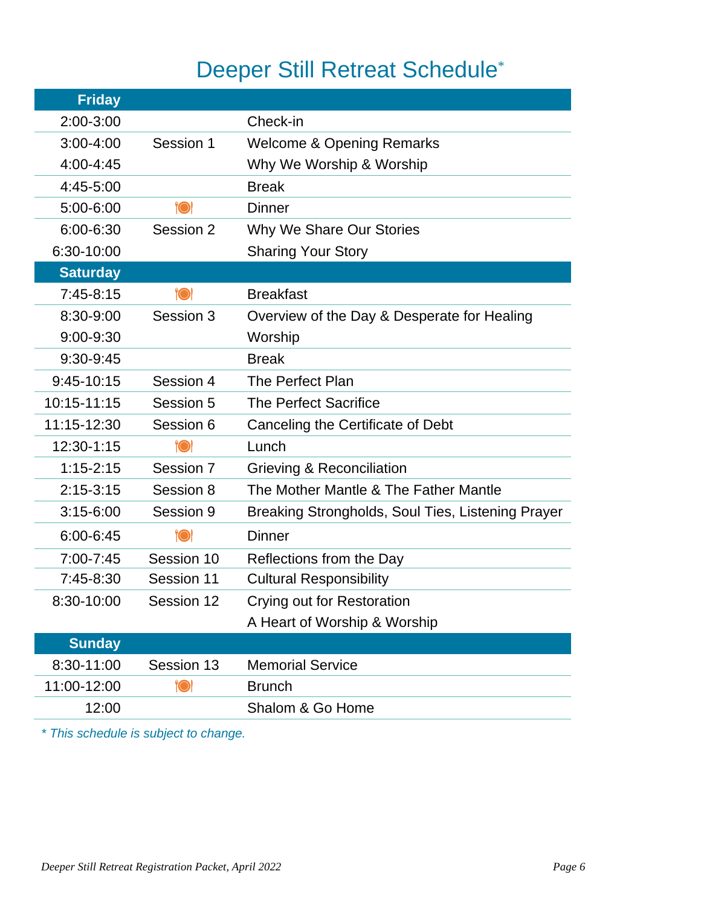# Deeper Still Retreat Schedule<sup>\*</sup>

| <b>Friday</b>   |            |                                                   |
|-----------------|------------|---------------------------------------------------|
| 2:00-3:00       |            | Check-in                                          |
| $3:00-4:00$     | Session 1  | <b>Welcome &amp; Opening Remarks</b>              |
| $4:00 - 4:45$   |            | Why We Worship & Worship                          |
| 4:45-5:00       |            | <b>Break</b>                                      |
| 5:00-6:00       | <b>"O</b>  | <b>Dinner</b>                                     |
| $6:00 - 6:30$   | Session 2  | Why We Share Our Stories                          |
| 6:30-10:00      |            | <b>Sharing Your Story</b>                         |
| <b>Saturday</b> |            |                                                   |
| $7:45-8:15$     | <b>"OI</b> | <b>Breakfast</b>                                  |
| 8:30-9:00       | Session 3  | Overview of the Day & Desperate for Healing       |
| 9:00-9:30       |            | Worship                                           |
| 9:30-9:45       |            | <b>Break</b>                                      |
| 9:45-10:15      | Session 4  | The Perfect Plan                                  |
| 10:15-11:15     | Session 5  | <b>The Perfect Sacrifice</b>                      |
| 11:15-12:30     | Session 6  | Canceling the Certificate of Debt                 |
| 12:30-1:15      | <b>"OI</b> | Lunch                                             |
| $1:15 - 2:15$   | Session 7  | Grieving & Reconciliation                         |
| $2:15-3:15$     | Session 8  | The Mother Mantle & The Father Mantle             |
| $3:15-6:00$     | Session 9  | Breaking Strongholds, Soul Ties, Listening Prayer |
| $6:00 - 6:45$   | <b>"O</b>  | <b>Dinner</b>                                     |
| 7:00-7:45       | Session 10 | Reflections from the Day                          |
| 7:45-8:30       | Session 11 | <b>Cultural Responsibility</b>                    |
| 8:30-10:00      | Session 12 | Crying out for Restoration                        |
|                 |            | A Heart of Worship & Worship                      |
| <b>Sunday</b>   |            |                                                   |
| 8:30-11:00      | Session 13 | <b>Memorial Service</b>                           |
| 11:00-12:00     | $\bullet$  | <b>Brunch</b>                                     |
| 12:00           |            | Shalom & Go Home                                  |

*\* This schedule is subject to change.*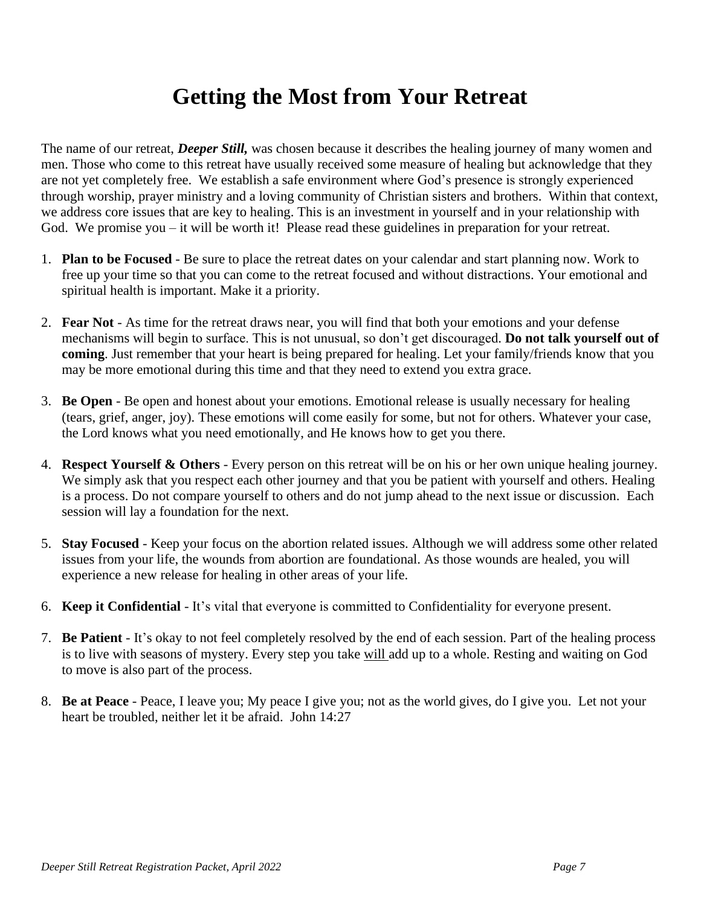### **Getting the Most from Your Retreat**

The name of our retreat, *Deeper Still,* was chosen because it describes the healing journey of many women and men. Those who come to this retreat have usually received some measure of healing but acknowledge that they are not yet completely free. We establish a safe environment where God's presence is strongly experienced through worship, prayer ministry and a loving community of Christian sisters and brothers. Within that context, we address core issues that are key to healing. This is an investment in yourself and in your relationship with God. We promise you – it will be worth it! Please read these guidelines in preparation for your retreat.

- 1. **Plan to be Focused** Be sure to place the retreat dates on your calendar and start planning now. Work to free up your time so that you can come to the retreat focused and without distractions. Your emotional and spiritual health is important. Make it a priority.
- 2. **Fear Not** As time for the retreat draws near, you will find that both your emotions and your defense mechanisms will begin to surface. This is not unusual, so don't get discouraged. **Do not talk yourself out of coming**. Just remember that your heart is being prepared for healing. Let your family/friends know that you may be more emotional during this time and that they need to extend you extra grace.
- 3. **Be Open** Be open and honest about your emotions. Emotional release is usually necessary for healing (tears, grief, anger, joy). These emotions will come easily for some, but not for others. Whatever your case, the Lord knows what you need emotionally, and He knows how to get you there.
- 4. **Respect Yourself & Others** Every person on this retreat will be on his or her own unique healing journey. We simply ask that you respect each other journey and that you be patient with yourself and others. Healing is a process. Do not compare yourself to others and do not jump ahead to the next issue or discussion. Each session will lay a foundation for the next.
- 5. **Stay Focused** Keep your focus on the abortion related issues. Although we will address some other related issues from your life, the wounds from abortion are foundational. As those wounds are healed, you will experience a new release for healing in other areas of your life.
- 6. **Keep it Confidential** It's vital that everyone is committed to Confidentiality for everyone present.
- 7. **Be Patient** It's okay to not feel completely resolved by the end of each session. Part of the healing process is to live with seasons of mystery. Every step you take will add up to a whole. Resting and waiting on God to move is also part of the process.
- 8. **Be at Peace** Peace, I leave you; My peace I give you; not as the world gives, do I give you. Let not your heart be troubled, neither let it be afraid. John 14:27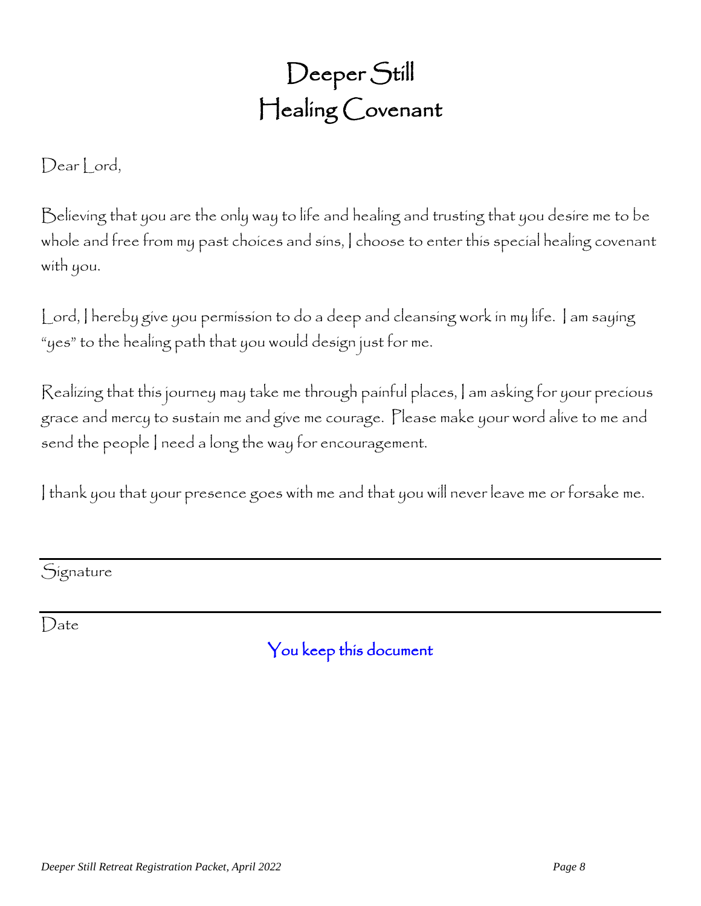Deeper Still Healing Covenant

Dear Lord,

Believing that you are the only way to life and healing and trusting that you desire me to be whole and free from my past choices and sins, I choose to enter this special healing covenant with you.

Lord, I hereby give you permission to do a deep and cleansing work in my life. I am saying "yes" to the healing path that you would design just for me.

Realizing that this journey may take me through painful places, I am asking for your precious grace and mercy to sustain me and give me courage. Please make your word alive to me and send the people I need a long the way for encouragement.

I thank you that your presence goes with me and that you will never leave me or forsake me.

**Signature** 

Date

You keep this document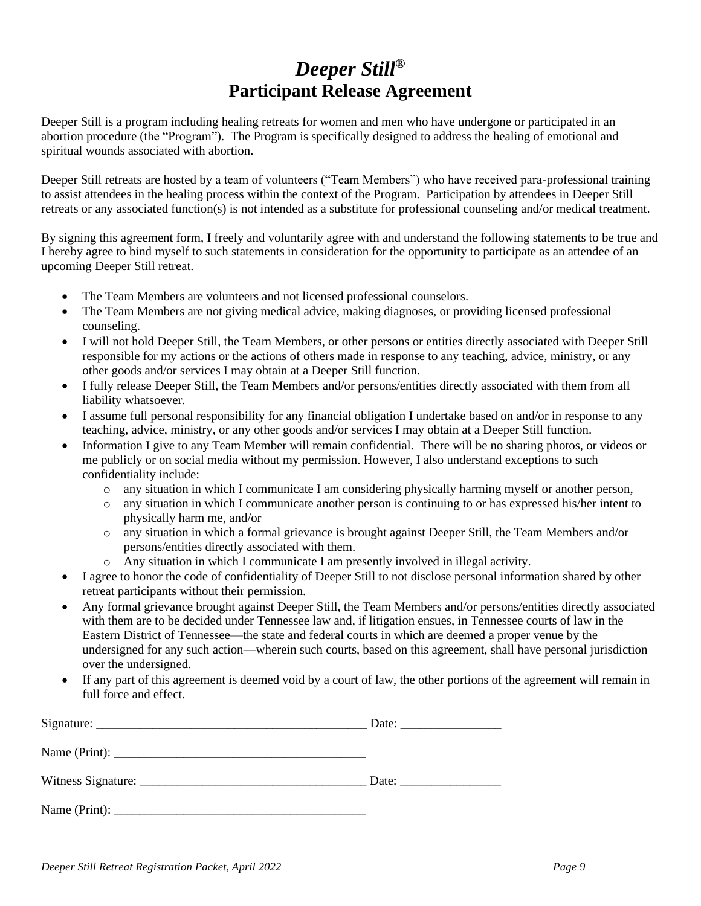#### *Deeper Still®* **Participant Release Agreement**

Deeper Still is a program including healing retreats for women and men who have undergone or participated in an abortion procedure (the "Program"). The Program is specifically designed to address the healing of emotional and spiritual wounds associated with abortion.

Deeper Still retreats are hosted by a team of volunteers ("Team Members") who have received para-professional training to assist attendees in the healing process within the context of the Program. Participation by attendees in Deeper Still retreats or any associated function(s) is not intended as a substitute for professional counseling and/or medical treatment.

By signing this agreement form, I freely and voluntarily agree with and understand the following statements to be true and I hereby agree to bind myself to such statements in consideration for the opportunity to participate as an attendee of an upcoming Deeper Still retreat.

- The Team Members are volunteers and not licensed professional counselors.
- The Team Members are not giving medical advice, making diagnoses, or providing licensed professional counseling.
- I will not hold Deeper Still, the Team Members, or other persons or entities directly associated with Deeper Still responsible for my actions or the actions of others made in response to any teaching, advice, ministry, or any other goods and/or services I may obtain at a Deeper Still function.
- I fully release Deeper Still, the Team Members and/or persons/entities directly associated with them from all liability whatsoever.
- I assume full personal responsibility for any financial obligation I undertake based on and/or in response to any teaching, advice, ministry, or any other goods and/or services I may obtain at a Deeper Still function.
- Information I give to any Team Member will remain confidential. There will be no sharing photos, or videos or me publicly or on social media without my permission. However, I also understand exceptions to such confidentiality include:
	- o any situation in which I communicate I am considering physically harming myself or another person,
	- o any situation in which I communicate another person is continuing to or has expressed his/her intent to physically harm me, and/or
	- o any situation in which a formal grievance is brought against Deeper Still, the Team Members and/or persons/entities directly associated with them.
	- o Any situation in which I communicate I am presently involved in illegal activity.
- I agree to honor the code of confidentiality of Deeper Still to not disclose personal information shared by other retreat participants without their permission.
- Any formal grievance brought against Deeper Still, the Team Members and/or persons/entities directly associated with them are to be decided under Tennessee law and, if litigation ensues, in Tennessee courts of law in the Eastern District of Tennessee—the state and federal courts in which are deemed a proper venue by the undersigned for any such action—wherein such courts, based on this agreement, shall have personal jurisdiction over the undersigned.
- If any part of this agreement is deemed void by a court of law, the other portions of the agreement will remain in full force and effect.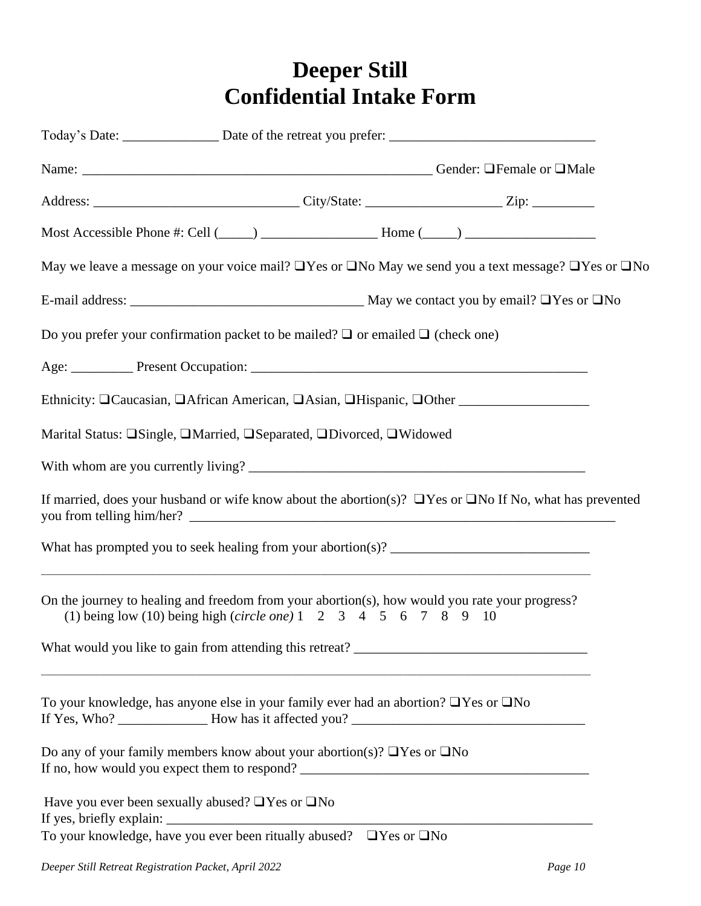## **Deeper Still Confidential Intake Form**

|                                                             |                                                                                                                                                                                                                                                                                                                                                                    | May we leave a message on your voice mail? $\Box$ Yes or $\Box$ No May we send you a text message? $\Box$ Yes or $\Box$ No |
|-------------------------------------------------------------|--------------------------------------------------------------------------------------------------------------------------------------------------------------------------------------------------------------------------------------------------------------------------------------------------------------------------------------------------------------------|----------------------------------------------------------------------------------------------------------------------------|
|                                                             |                                                                                                                                                                                                                                                                                                                                                                    |                                                                                                                            |
|                                                             | Do you prefer your confirmation packet to be mailed? $\Box$ or emailed $\Box$ (check one)                                                                                                                                                                                                                                                                          |                                                                                                                            |
|                                                             |                                                                                                                                                                                                                                                                                                                                                                    |                                                                                                                            |
|                                                             |                                                                                                                                                                                                                                                                                                                                                                    |                                                                                                                            |
|                                                             | Marital Status: OSingle, OMarried, OSeparated, ODivorced, OWidowed                                                                                                                                                                                                                                                                                                 |                                                                                                                            |
|                                                             |                                                                                                                                                                                                                                                                                                                                                                    |                                                                                                                            |
|                                                             |                                                                                                                                                                                                                                                                                                                                                                    | If married, does your husband or wife know about the abortion(s)? $\Box$ Yes or $\Box$ No If No, what has prevented        |
|                                                             | What has prompted you to seek healing from your abortion(s)? $\frac{1}{\frac{1}{1-\frac{1}{1-\frac{1}{1-\frac{1}{1-\frac{1}{1-\frac{1}{1-\frac{1}{1-\frac{1}{1-\frac{1}{1-\frac{1}{1-\frac{1}{1-\frac{1}{1-\frac{1}{1-\frac{1}{1-\frac{1}{1-\frac{1}{1-\frac{1}{1-\frac{1}{1-\frac{1}{1-\frac{1}{1-\frac{1}{1-\frac{1}{1-\frac{1}{1-\frac{1}{1-\frac{1}{1-\frac{1$ |                                                                                                                            |
|                                                             | On the journey to healing and freedom from your abortion(s), how would you rate your progress?<br>(1) being low (10) being high (circle one) $1 \t2 \t3 \t4 \t5 \t6 \t7 \t8 \t9 \t10$                                                                                                                                                                              |                                                                                                                            |
|                                                             | <u> 1989 - Johann Stoff, amerikansk politiker (* 1908)</u>                                                                                                                                                                                                                                                                                                         |                                                                                                                            |
|                                                             | To your knowledge, has anyone else in your family ever had an abortion? □ Yes or □ No                                                                                                                                                                                                                                                                              |                                                                                                                            |
|                                                             | Do any of your family members know about your abortion(s)? $\Box$ Yes or $\Box$ No                                                                                                                                                                                                                                                                                 |                                                                                                                            |
| Have you ever been sexually abused? $\Box$ Yes or $\Box$ No |                                                                                                                                                                                                                                                                                                                                                                    |                                                                                                                            |
|                                                             | To your knowledge, have you ever been ritually abused? $\Box$ Yes or $\Box$ No                                                                                                                                                                                                                                                                                     |                                                                                                                            |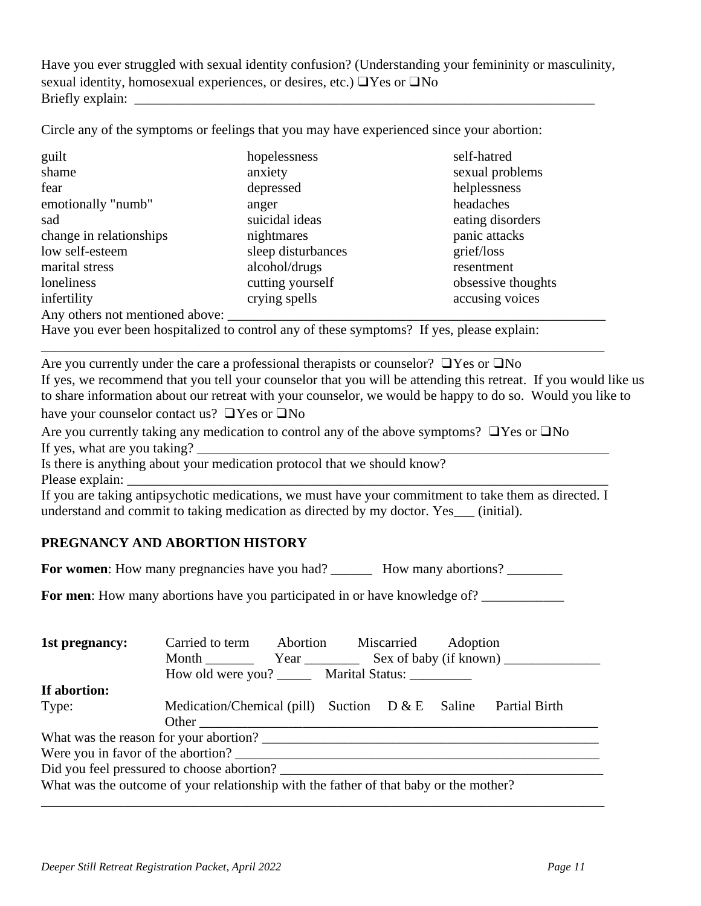Have you ever struggled with sexual identity confusion? (Understanding your femininity or masculinity, sexual identity, homosexual experiences, or desires, etc.) ❑Yes or ❑No Briefly explain: \_\_\_\_\_\_\_\_\_\_\_\_\_\_\_\_\_\_\_\_\_\_\_\_\_\_\_\_\_\_\_\_\_\_\_\_\_\_\_\_\_\_\_\_\_\_\_\_\_\_\_\_\_\_\_\_\_\_\_\_\_\_\_\_\_\_\_

Circle any of the symptoms or feelings that you may have experienced since your abortion:

| guilt                           | hopelessness       | self-hatred        |
|---------------------------------|--------------------|--------------------|
| shame                           | anxiety            | sexual problems    |
| fear                            | depressed          | helplessness       |
| emotionally "numb"              | anger              | headaches          |
| sad                             | suicidal ideas     | eating disorders   |
| change in relationships         | nightmares         | panic attacks      |
| low self-esteem                 | sleep disturbances | grief/loss         |
| marital stress                  | alcohol/drugs      | resentment         |
| loneliness                      | cutting yourself   | obsessive thoughts |
| infertility                     | crying spells      | accusing voices    |
| Any others not mentioned above: |                    |                    |

Have you ever been hospitalized to control any of these symptoms? If yes, please explain:

Are you currently under the care a professional therapists or counselor? ❑Yes or ❑No If yes, we recommend that you tell your counselor that you will be attending this retreat. If you would like us to share information about our retreat with your counselor, we would be happy to do so. Would you like to have your counselor contact us? ❑Yes or ❑No

\_\_\_\_\_\_\_\_\_\_\_\_\_\_\_\_\_\_\_\_\_\_\_\_\_\_\_\_\_\_\_\_\_\_\_\_\_\_\_\_\_\_\_\_\_\_\_\_\_\_\_\_\_\_\_\_\_\_\_\_\_\_\_\_\_\_\_\_\_\_\_\_\_\_\_\_\_\_\_\_\_\_

Are you currently taking any medication to control any of the above symptoms? ❑Yes or ❑No If yes, what are you taking?

Is there is anything about your medication protocol that we should know? Please explain:

If you are taking antipsychotic medications, we must have your commitment to take them as directed. I understand and commit to taking medication as directed by my doctor. Yes\_\_\_ (initial).

#### **PREGNANCY AND ABORTION HISTORY**

**For women:** How many pregnancies have you had? \_\_\_\_\_\_\_\_\_\_ How many abortions? \_\_\_\_\_\_\_\_

**For men**: How many abortions have you participated in or have knowledge of?

| 1st pregnancy:                                                                        | Carried to term Abortion                                | Miscarried Adoption |                      |
|---------------------------------------------------------------------------------------|---------------------------------------------------------|---------------------|----------------------|
|                                                                                       | Month Year Sex of baby (if known)                       |                     |                      |
|                                                                                       | How old were you? ________ Marital Status: ____________ |                     |                      |
| If abortion:                                                                          |                                                         |                     |                      |
| Type:                                                                                 | Medication/Chemical (pill) Suction $D & E$ Saline       |                     | <b>Partial Birth</b> |
|                                                                                       |                                                         |                     |                      |
|                                                                                       |                                                         |                     |                      |
| Were you in favor of the abortion?                                                    |                                                         |                     |                      |
| Did you feel pressured to choose abortion?                                            |                                                         |                     |                      |
| What was the outcome of your relationship with the father of that baby or the mother? |                                                         |                     |                      |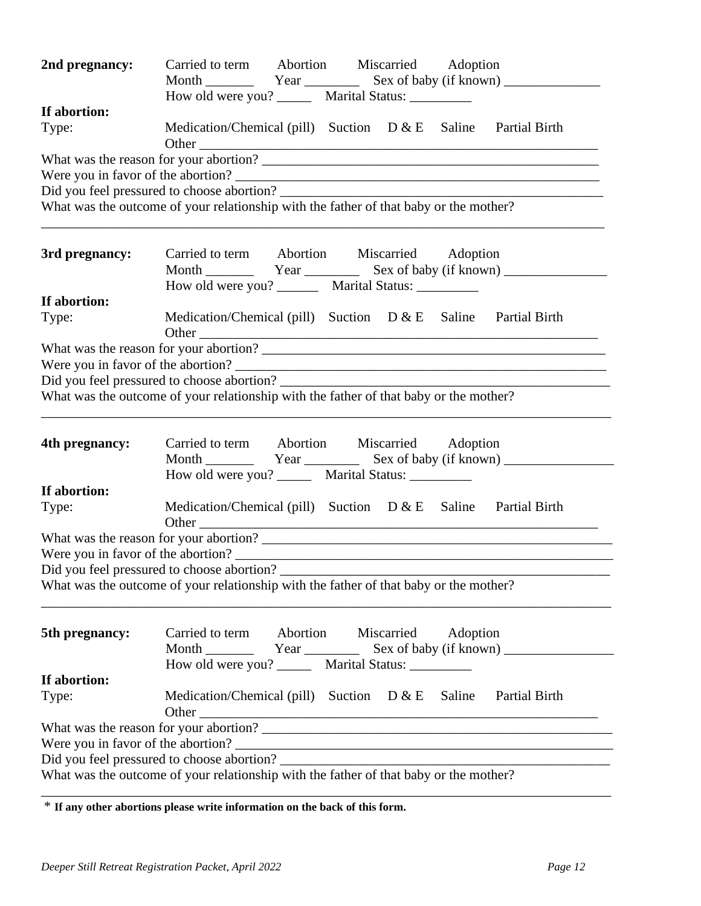| 2nd pregnancy: | Carried to term Abortion Miscarried Adoption<br>Month <u>Communication</u> Year Sex of baby (if known)   |
|----------------|----------------------------------------------------------------------------------------------------------|
|                | How old were you? ________ Marital Status: __________                                                    |
| If abortion:   | Medication/Chemical (pill) Suction $D & E$ Saline Partial Birth                                          |
| Type:          |                                                                                                          |
|                |                                                                                                          |
|                |                                                                                                          |
|                |                                                                                                          |
|                | What was the outcome of your relationship with the father of that baby or the mother?                    |
| 3rd pregnancy: | Carried to term Abortion Miscarried Adoption                                                             |
| If abortion:   | How old were you? __________ Marital Status: ___________                                                 |
|                | Medication/Chemical (pill) Suction $D & E$ Saline Partial Birth                                          |
| Type:          |                                                                                                          |
|                |                                                                                                          |
|                |                                                                                                          |
|                |                                                                                                          |
|                | What was the outcome of your relationship with the father of that baby or the mother?                    |
| 4th pregnancy: | Carried to term Abortion Miscarried Adoption                                                             |
|                | How old were you? ________ Marital Status: ___________                                                   |
| If abortion:   |                                                                                                          |
| Type:          | Medication/Chemical (pill) Suction $D & E$ Saline Partial Birth                                          |
|                |                                                                                                          |
|                | Were you in favor of the abortion?                                                                       |
|                | Did you feel pressured to choose abortion?                                                               |
|                | What was the outcome of your relationship with the father of that baby or the mother?                    |
| 5th pregnancy: | Carried to term Abortion Miscarried<br>Adoption<br>How old were you? ________ Marital Status: __________ |
| If abortion:   |                                                                                                          |
| Type:          | Medication/Chemical (pill) Suction $D & E$ Saline Partial Birth<br>Other                                 |
|                |                                                                                                          |
|                |                                                                                                          |
|                |                                                                                                          |
|                | What was the outcome of your relationship with the father of that baby or the mother?                    |
|                |                                                                                                          |

\* **If any other abortions please write information on the back of this form.**